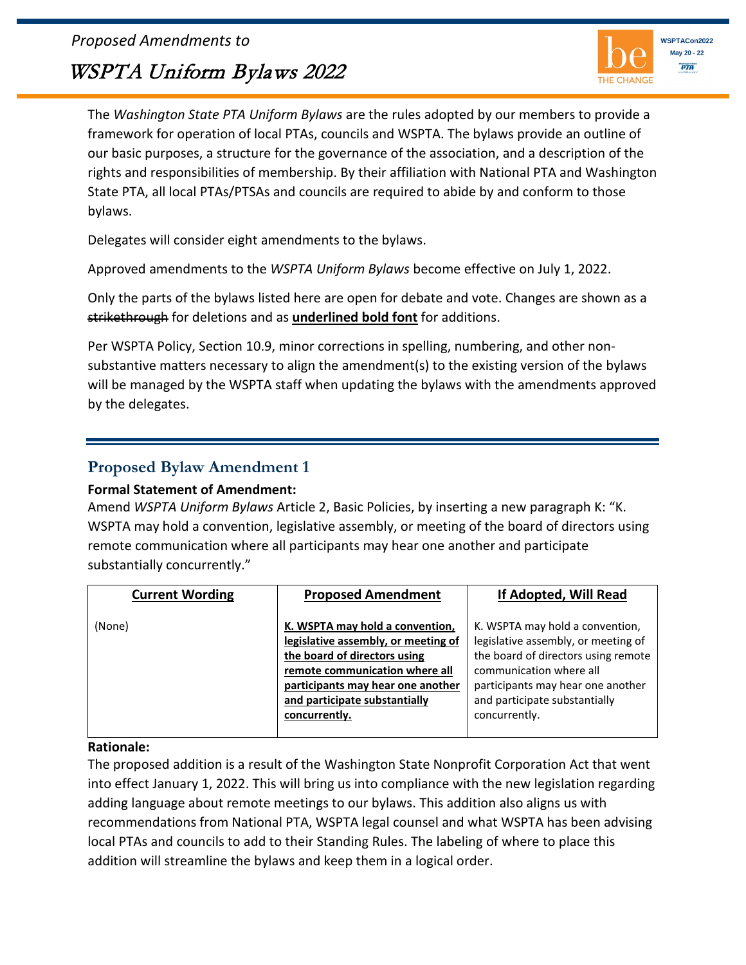*Proposed Amendments to*

# WSPTA Uniform Bylaws 2022



The *Washington State PTA Uniform Bylaws* are the rules adopted by our members to provide a framework for operation of local PTAs, councils and WSPTA. The bylaws provide an outline of our basic purposes, a structure for the governance of the association, and a description of the rights and responsibilities of membership. By their affiliation with National PTA and Washington State PTA, all local PTAs/PTSAs and councils are required to abide by and conform to those bylaws.

Delegates will consider eight amendments to the bylaws.

Approved amendments to the *WSPTA Uniform Bylaws* become effective on July 1, 2022.

Only the parts of the bylaws listed here are open for debate and vote. Changes are shown as a strikethrough for deletions and as **underlined bold font** for additions.

Per WSPTA Policy, Section 10.9, minor corrections in spelling, numbering, and other nonsubstantive matters necessary to align the amendment(s) to the existing version of the bylaws will be managed by the WSPTA staff when updating the bylaws with the amendments approved by the delegates.

### **Proposed Bylaw Amendment 1**

### **Formal Statement of Amendment:**

Amend *WSPTA Uniform Bylaws* Article 2, Basic Policies, by inserting a new paragraph K: "K. WSPTA may hold a convention, legislative assembly, or meeting of the board of directors using remote communication where all participants may hear one another and participate substantially concurrently."

| <b>Current Wording</b> | <b>Proposed Amendment</b>                                                                                                                                                                                                       | If Adopted, Will Read                                                                                                                                                                                                           |
|------------------------|---------------------------------------------------------------------------------------------------------------------------------------------------------------------------------------------------------------------------------|---------------------------------------------------------------------------------------------------------------------------------------------------------------------------------------------------------------------------------|
| (None)                 | K. WSPTA may hold a convention,<br>legislative assembly, or meeting of<br>the board of directors using<br>remote communication where all<br>participants may hear one another<br>and participate substantially<br>concurrently. | K. WSPTA may hold a convention,<br>legislative assembly, or meeting of<br>the board of directors using remote<br>communication where all<br>participants may hear one another<br>and participate substantially<br>concurrently. |

#### **Rationale:**

The proposed addition is a result of the Washington State Nonprofit Corporation Act that went into effect January 1, 2022. This will bring us into compliance with the new legislation regarding adding language about remote meetings to our bylaws. This addition also aligns us with recommendations from National PTA, WSPTA legal counsel and what WSPTA has been advising local PTAs and councils to add to their Standing Rules. The labeling of where to place this addition will streamline the bylaws and keep them in a logical order.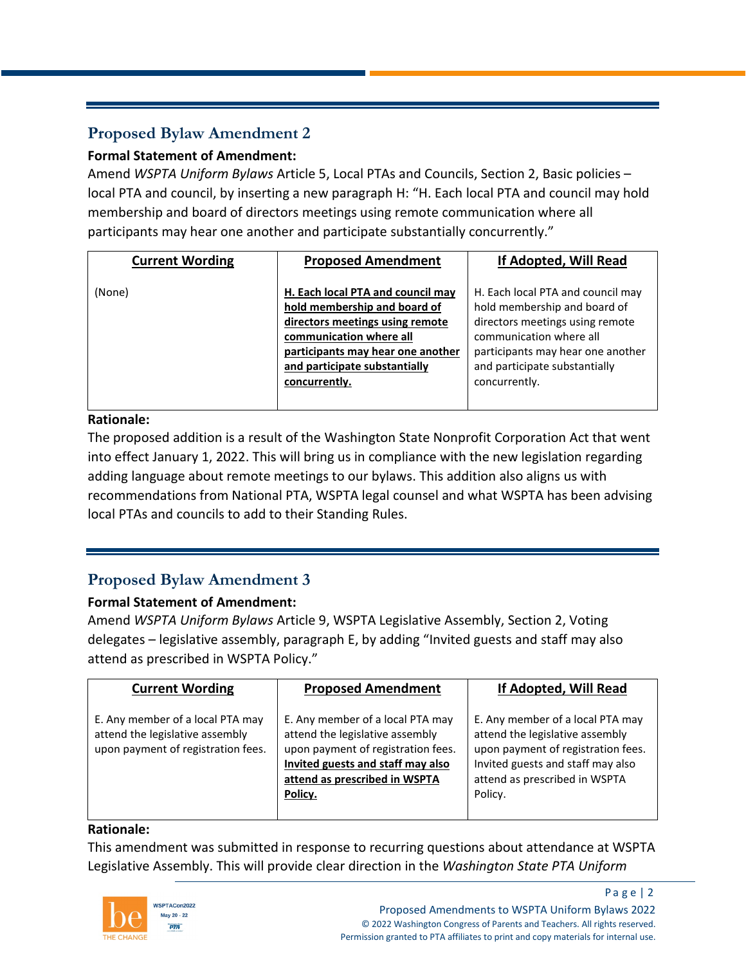# **Proposed Bylaw Amendment 2**

### **Formal Statement of Amendment:**

Amend *WSPTA Uniform Bylaws* Article 5, Local PTAs and Councils, Section 2, Basic policies – local PTA and council, by inserting a new paragraph H: "H. Each local PTA and council may hold membership and board of directors meetings using remote communication where all participants may hear one another and participate substantially concurrently."

| <b>Current Wording</b> | <b>Proposed Amendment</b>                                                                                                                                                                                              | If Adopted, Will Read                                                                                                                                                                                                  |
|------------------------|------------------------------------------------------------------------------------------------------------------------------------------------------------------------------------------------------------------------|------------------------------------------------------------------------------------------------------------------------------------------------------------------------------------------------------------------------|
| (None)                 | H. Each local PTA and council may<br>hold membership and board of<br>directors meetings using remote<br>communication where all<br>participants may hear one another<br>and participate substantially<br>concurrently. | H. Each local PTA and council may<br>hold membership and board of<br>directors meetings using remote<br>communication where all<br>participants may hear one another<br>and participate substantially<br>concurrently. |

### **Rationale:**

The proposed addition is a result of the Washington State Nonprofit Corporation Act that went into effect January 1, 2022. This will bring us in compliance with the new legislation regarding adding language about remote meetings to our bylaws. This addition also aligns us with recommendations from National PTA, WSPTA legal counsel and what WSPTA has been advising local PTAs and councils to add to their Standing Rules.

### **Proposed Bylaw Amendment 3**

### **Formal Statement of Amendment:**

Amend *WSPTA Uniform Bylaws* Article 9, WSPTA Legislative Assembly, Section 2, Voting delegates – legislative assembly, paragraph E, by adding "Invited guests and staff may also attend as prescribed in WSPTA Policy."

| <b>Current Wording</b>                                                                                    | <b>Proposed Amendment</b>                                                                                                                                                                  | If Adopted, Will Read                                                                                                                                                                      |
|-----------------------------------------------------------------------------------------------------------|--------------------------------------------------------------------------------------------------------------------------------------------------------------------------------------------|--------------------------------------------------------------------------------------------------------------------------------------------------------------------------------------------|
| E. Any member of a local PTA may<br>attend the legislative assembly<br>upon payment of registration fees. | E. Any member of a local PTA may<br>attend the legislative assembly<br>upon payment of registration fees.<br>Invited guests and staff may also<br>attend as prescribed in WSPTA<br>Policy. | E. Any member of a local PTA may<br>attend the legislative assembly<br>upon payment of registration fees.<br>Invited guests and staff may also<br>attend as prescribed in WSPTA<br>Policy. |

### **Rationale:**

This amendment was submitted in response to recurring questions about attendance at WSPTA Legislative Assembly. This will provide clear direction in the *Washington State PTA Uniform* 



Page  $|2|$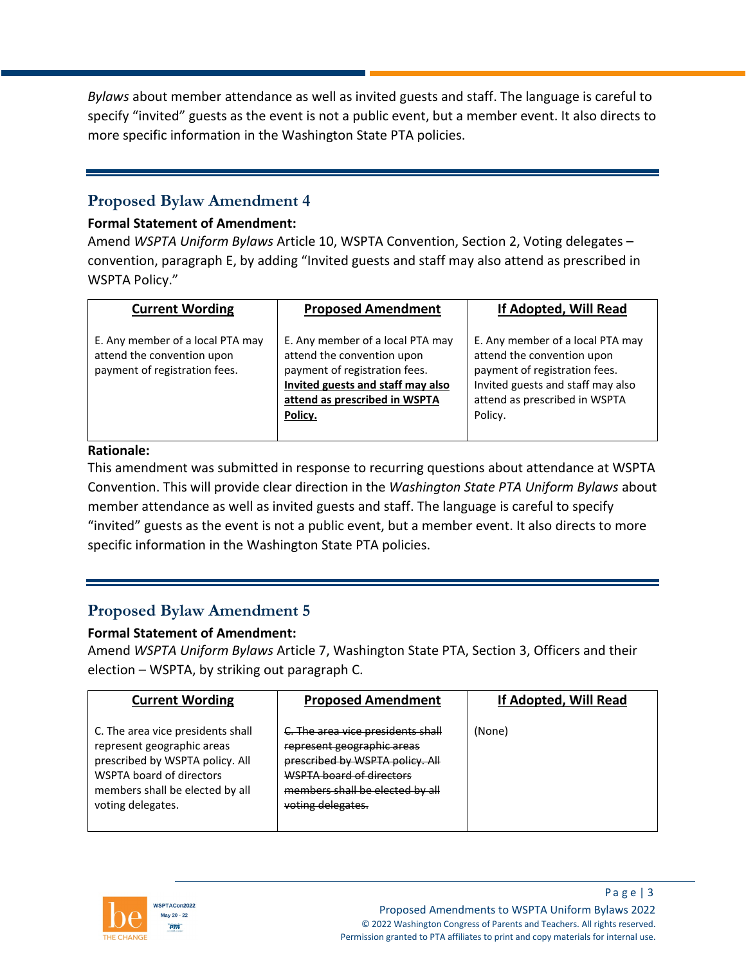*Bylaws* about member attendance as well as invited guests and staff. The language is careful to specify "invited" guests as the event is not a public event, but a member event. It also directs to more specific information in the Washington State PTA policies.

### **Proposed Bylaw Amendment 4**

### **Formal Statement of Amendment:**

Amend *WSPTA Uniform Bylaws* Article 10, WSPTA Convention, Section 2, Voting delegates – convention, paragraph E, by adding "Invited guests and staff may also attend as prescribed in WSPTA Policy."

| <b>Current Wording</b>                                                                          | <b>Proposed Amendment</b>                                                                                                                                                        | If Adopted, Will Read                                                                                                                                                            |
|-------------------------------------------------------------------------------------------------|----------------------------------------------------------------------------------------------------------------------------------------------------------------------------------|----------------------------------------------------------------------------------------------------------------------------------------------------------------------------------|
| E. Any member of a local PTA may<br>attend the convention upon<br>payment of registration fees. | E. Any member of a local PTA may<br>attend the convention upon<br>payment of registration fees.<br>Invited guests and staff may also<br>attend as prescribed in WSPTA<br>Policy. | E. Any member of a local PTA may<br>attend the convention upon<br>payment of registration fees.<br>Invited guests and staff may also<br>attend as prescribed in WSPTA<br>Policy. |

#### **Rationale:**

This amendment was submitted in response to recurring questions about attendance at WSPTA Convention. This will provide clear direction in the *Washington State PTA Uniform Bylaws* about member attendance as well as invited guests and staff. The language is careful to specify "invited" guests as the event is not a public event, but a member event. It also directs to more specific information in the Washington State PTA policies.

### **Proposed Bylaw Amendment 5**

### **Formal Statement of Amendment:**

Amend *WSPTA Uniform Bylaws* Article 7, Washington State PTA, Section 3, Officers and their election – WSPTA, by striking out paragraph C.

| <b>Current Wording</b>                                                                                                                                                                 | <b>Proposed Amendment</b>                                                                                                                                                              | If Adopted, Will Read |
|----------------------------------------------------------------------------------------------------------------------------------------------------------------------------------------|----------------------------------------------------------------------------------------------------------------------------------------------------------------------------------------|-----------------------|
| C. The area vice presidents shall<br>represent geographic areas<br>prescribed by WSPTA policy. All<br>WSPTA board of directors<br>members shall be elected by all<br>voting delegates. | C. The area vice presidents shall<br>represent geographic areas<br>prescribed by WSPTA policy. All<br>WSPTA board of directors<br>members shall be elected by all<br>voting delegates. | (None)                |

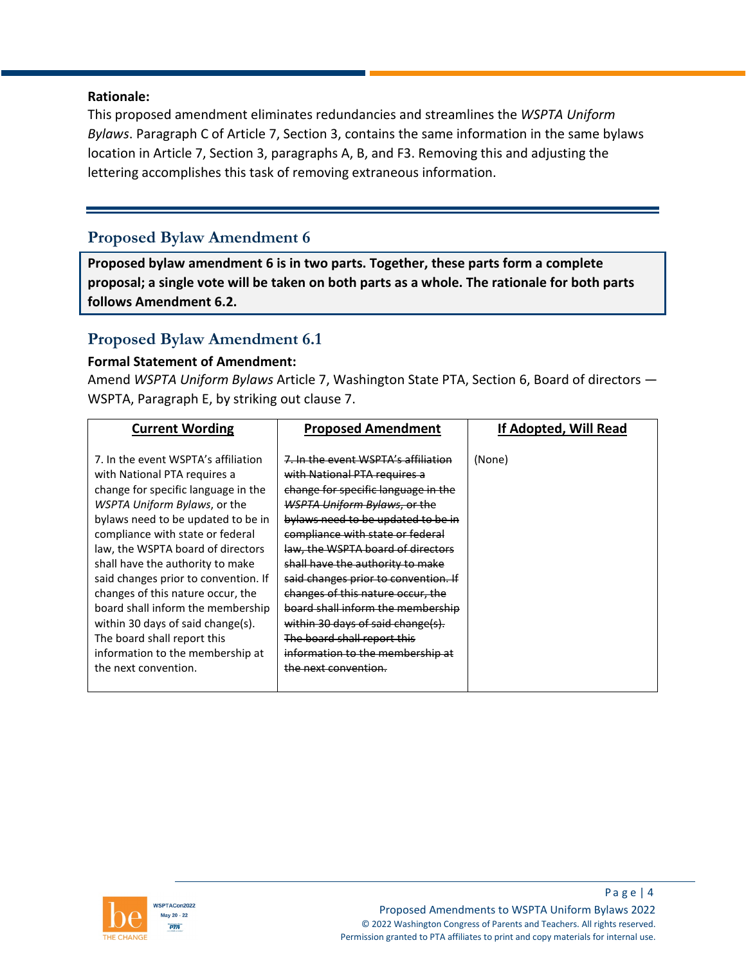#### **Rationale:**

This proposed amendment eliminates redundancies and streamlines the *WSPTA Uniform Bylaws*. Paragraph C of Article 7, Section 3, contains the same information in the same bylaws location in Article 7, Section 3, paragraphs A, B, and F3. Removing this and adjusting the lettering accomplishes this task of removing extraneous information.

### **Proposed Bylaw Amendment 6**

**Proposed bylaw amendment 6 is in two parts. Together, these parts form a complete proposal; a single vote will be taken on both parts as a whole. The rationale for both parts follows Amendment 6.2.** 

### **Proposed Bylaw Amendment 6.1**

#### **Formal Statement of Amendment:**

Amend *WSPTA Uniform Bylaws* Article 7, Washington State PTA, Section 6, Board of directors — WSPTA, Paragraph E, by striking out clause 7.

| <b>Current Wording</b>                                                                                                                                                                                                                                                                                                                                                                                                                                                                                                                          | <b>Proposed Amendment</b>                                                                                                                                                                                                                                                                                                                                                                                                                                                                                                                              | If Adopted, Will Read |
|-------------------------------------------------------------------------------------------------------------------------------------------------------------------------------------------------------------------------------------------------------------------------------------------------------------------------------------------------------------------------------------------------------------------------------------------------------------------------------------------------------------------------------------------------|--------------------------------------------------------------------------------------------------------------------------------------------------------------------------------------------------------------------------------------------------------------------------------------------------------------------------------------------------------------------------------------------------------------------------------------------------------------------------------------------------------------------------------------------------------|-----------------------|
| 7. In the event WSPTA's affiliation<br>with National PTA requires a<br>change for specific language in the<br>WSPTA Uniform Bylaws, or the<br>bylaws need to be updated to be in<br>compliance with state or federal<br>law, the WSPTA board of directors<br>shall have the authority to make<br>said changes prior to convention. If<br>changes of this nature occur, the<br>board shall inform the membership<br>within 30 days of said change(s).<br>The board shall report this<br>information to the membership at<br>the next convention. | 7. In the event WSPTA's affiliation<br>with National PTA requires a<br>change for specific language in the<br><b>WSPTA Uniform Bylaws, or the</b><br>bylaws need to be updated to be in<br>compliance with state or federal<br>law, the WSPTA board of directors<br>shall have the authority to make<br>said changes prior to convention. If<br>changes of this nature occur, the<br>board shall inform the membership<br>within 30 days of said change(s).<br>The board shall report this<br>information to the membership at<br>the next convention. | (None)                |
|                                                                                                                                                                                                                                                                                                                                                                                                                                                                                                                                                 |                                                                                                                                                                                                                                                                                                                                                                                                                                                                                                                                                        |                       |

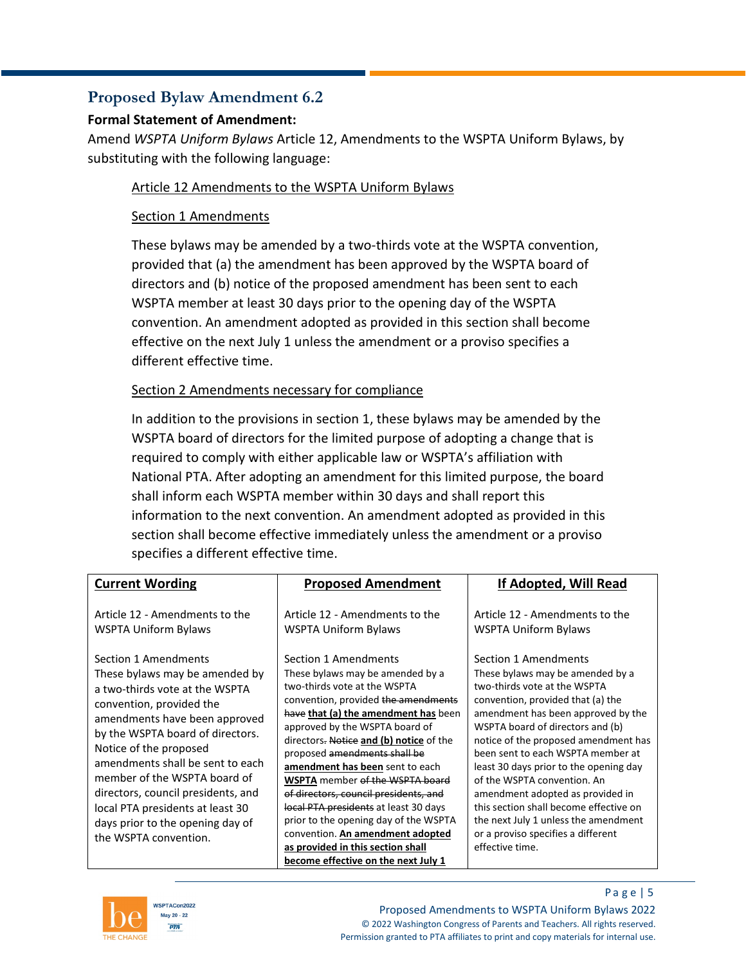### **Proposed Bylaw Amendment 6.2**

### **Formal Statement of Amendment:**

Amend *WSPTA Uniform Bylaws* Article 12, Amendments to the WSPTA Uniform Bylaws, by substituting with the following language:

### Article 12 Amendments to the WSPTA Uniform Bylaws

### Section 1 Amendments

These bylaws may be amended by a two-thirds vote at the WSPTA convention, provided that (a) the amendment has been approved by the WSPTA board of directors and (b) notice of the proposed amendment has been sent to each WSPTA member at least 30 days prior to the opening day of the WSPTA convention. An amendment adopted as provided in this section shall become effective on the next July 1 unless the amendment or a proviso specifies a different effective time.

### Section 2 Amendments necessary for compliance

In addition to the provisions in section 1, these bylaws may be amended by the WSPTA board of directors for the limited purpose of adopting a change that is required to comply with either applicable law or WSPTA's affiliation with National PTA. After adopting an amendment for this limited purpose, the board shall inform each WSPTA member within 30 days and shall report this information to the next convention. An amendment adopted as provided in this section shall become effective immediately unless the amendment or a proviso specifies a different effective time.

| <b>Current Wording</b>                                                                                                                                                                                                                                                                                            | <b>Proposed Amendment</b>                                                                                                                                                                                                                                                                                                                                                                | If Adopted, Will Read                                                                                                                                                                                                                                                                                                                                                                           |
|-------------------------------------------------------------------------------------------------------------------------------------------------------------------------------------------------------------------------------------------------------------------------------------------------------------------|------------------------------------------------------------------------------------------------------------------------------------------------------------------------------------------------------------------------------------------------------------------------------------------------------------------------------------------------------------------------------------------|-------------------------------------------------------------------------------------------------------------------------------------------------------------------------------------------------------------------------------------------------------------------------------------------------------------------------------------------------------------------------------------------------|
| Article 12 - Amendments to the<br>WSPTA Uniform Bylaws<br>Section 1 Amendments<br>These bylaws may be amended by<br>a two-thirds vote at the WSPTA<br>convention, provided the<br>amendments have been approved<br>by the WSPTA board of directors.<br>Notice of the proposed<br>amendments shall be sent to each | Article 12 - Amendments to the<br><b>WSPTA Uniform Bylaws</b><br>Section 1 Amendments<br>These bylaws may be amended by a<br>two-thirds vote at the WSPTA<br>convention, provided the amendments<br>have that (a) the amendment has been<br>approved by the WSPTA board of<br>directors. Notice and (b) notice of the<br>proposed amendments shall be<br>amendment has been sent to each | Article 12 - Amendments to the<br><b>WSPTA Uniform Bylaws</b><br>Section 1 Amendments<br>These bylaws may be amended by a<br>two-thirds vote at the WSPTA<br>convention, provided that (a) the<br>amendment has been approved by the<br>WSPTA board of directors and (b)<br>notice of the proposed amendment has<br>been sent to each WSPTA member at<br>least 30 days prior to the opening day |
| member of the WSPTA board of<br>directors, council presidents, and<br>local PTA presidents at least 30<br>days prior to the opening day of<br>the WSPTA convention.                                                                                                                                               | <b>WSPTA</b> member of the WSPTA board<br>of directors, council presidents, and<br>local PTA presidents at least 30 days<br>prior to the opening day of the WSPTA<br>convention. An amendment adopted<br>as provided in this section shall                                                                                                                                               | of the WSPTA convention. An<br>amendment adopted as provided in<br>this section shall become effective on<br>the next July 1 unless the amendment<br>or a proviso specifies a different<br>effective time.                                                                                                                                                                                      |
|                                                                                                                                                                                                                                                                                                                   | become effective on the next July 1                                                                                                                                                                                                                                                                                                                                                      |                                                                                                                                                                                                                                                                                                                                                                                                 |



Page  $| 5$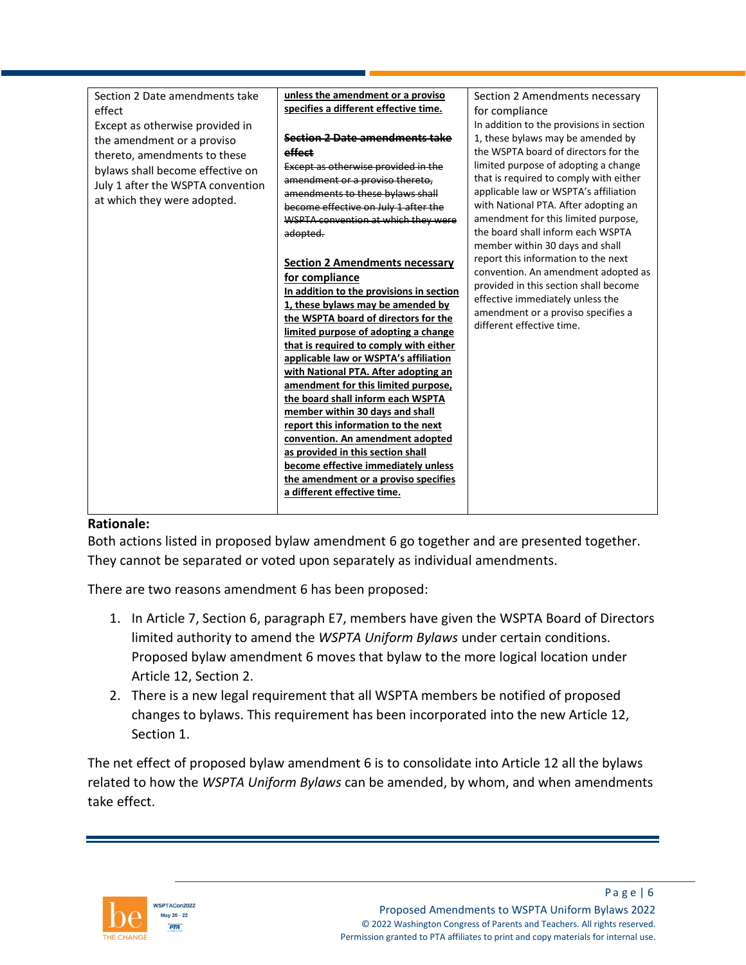| Section 2 Date amendments take    | unless the amendment or a proviso        | Section 2 Amendments necessary           |
|-----------------------------------|------------------------------------------|------------------------------------------|
| effect                            | specifies a different effective time.    | for compliance                           |
| Except as otherwise provided in   |                                          | In addition to the provisions in section |
| the amendment or a proviso        | Section 2 Date amendments take           | 1, these bylaws may be amended by        |
| thereto, amendments to these      | effect                                   | the WSPTA board of directors for the     |
| bylaws shall become effective on  | Except as otherwise provided in the      | limited purpose of adopting a change     |
| July 1 after the WSPTA convention | amendment or a proviso thereto,          | that is required to comply with either   |
|                                   | amendments to these bylaws shall         | applicable law or WSPTA's affiliation    |
| at which they were adopted.       | become effective on July 1 after the     | with National PTA. After adopting an     |
|                                   | WSPTA convention at which they were      | amendment for this limited purpose,      |
|                                   | adopted.                                 | the board shall inform each WSPTA        |
|                                   |                                          | member within 30 days and shall          |
|                                   | <b>Section 2 Amendments necessary</b>    | report this information to the next      |
|                                   | for compliance                           | convention. An amendment adopted as      |
|                                   | In addition to the provisions in section | provided in this section shall become    |
|                                   | 1, these bylaws may be amended by        | effective immediately unless the         |
|                                   | the WSPTA board of directors for the     | amendment or a proviso specifies a       |
|                                   | limited purpose of adopting a change     | different effective time.                |
|                                   | that is required to comply with either   |                                          |
|                                   | applicable law or WSPTA's affiliation    |                                          |
|                                   | with National PTA. After adopting an     |                                          |
|                                   | amendment for this limited purpose,      |                                          |
|                                   | the board shall inform each WSPTA        |                                          |
|                                   | member within 30 days and shall          |                                          |
|                                   | report this information to the next      |                                          |
|                                   | convention. An amendment adopted         |                                          |
|                                   | as provided in this section shall        |                                          |
|                                   | become effective immediately unless      |                                          |
|                                   | the amendment or a proviso specifies     |                                          |
|                                   | a different effective time.              |                                          |
|                                   |                                          |                                          |

### **Rationale:**

Both actions listed in proposed bylaw amendment 6 go together and are presented together. They cannot be separated or voted upon separately as individual amendments.

There are two reasons amendment 6 has been proposed:

- 1. In Article 7, Section 6, paragraph E7, members have given the WSPTA Board of Directors limited authority to amend the *WSPTA Uniform Bylaws* under certain conditions. Proposed bylaw amendment 6 moves that bylaw to the more logical location under Article 12, Section 2.
- 2. There is a new legal requirement that all WSPTA members be notified of proposed changes to bylaws. This requirement has been incorporated into the new Article 12, Section 1.

The net effect of proposed bylaw amendment 6 is to consolidate into Article 12 all the bylaws related to how the *WSPTA Uniform Bylaws* can be amended, by whom, and when amendments take effect.

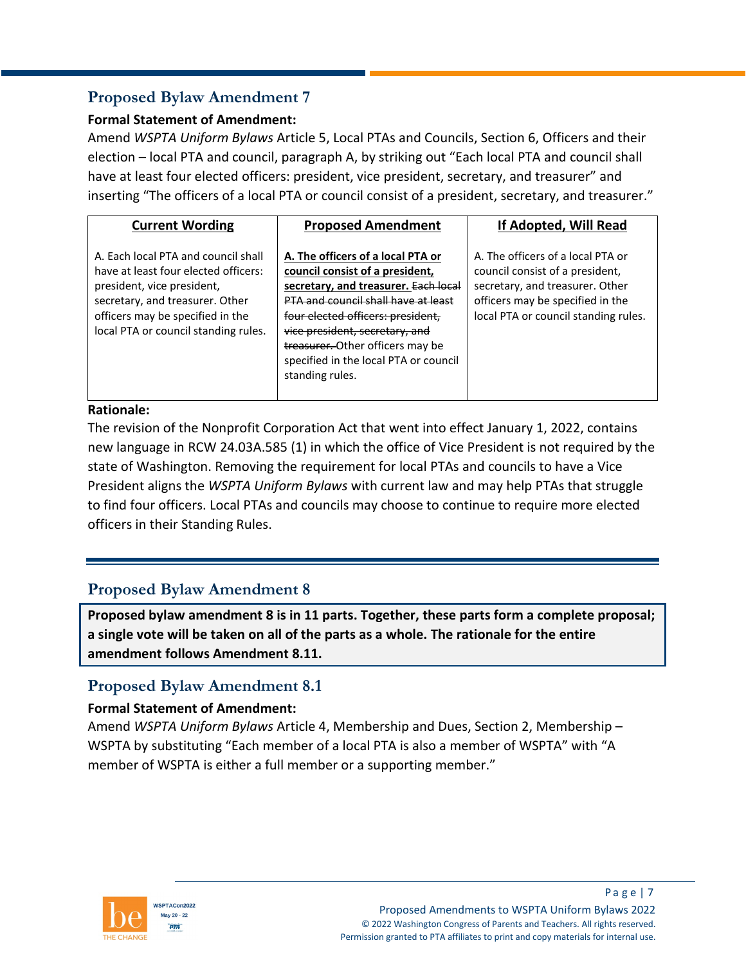### **Proposed Bylaw Amendment 7**

### **Formal Statement of Amendment:**

Amend *WSPTA Uniform Bylaws* Article 5, Local PTAs and Councils, Section 6, Officers and their election – local PTA and council, paragraph A, by striking out "Each local PTA and council shall have at least four elected officers: president, vice president, secretary, and treasurer" and inserting "The officers of a local PTA or council consist of a president, secretary, and treasurer."

| <b>Current Wording</b>                                                                                                                                                                                                   | <b>Proposed Amendment</b>                                                                                                                                                                                                                                                                                                  | If Adopted, Will Read                                                                                                                                                               |
|--------------------------------------------------------------------------------------------------------------------------------------------------------------------------------------------------------------------------|----------------------------------------------------------------------------------------------------------------------------------------------------------------------------------------------------------------------------------------------------------------------------------------------------------------------------|-------------------------------------------------------------------------------------------------------------------------------------------------------------------------------------|
| A. Fach local PTA and council shall<br>have at least four elected officers:<br>president, vice president,<br>secretary, and treasurer. Other<br>officers may be specified in the<br>local PTA or council standing rules. | A. The officers of a local PTA or<br>council consist of a president,<br>secretary, and treasurer. Each local<br>PTA and council shall have at least<br>four elected officers: president.<br>vice president, secretary, and<br>treasurer. Other officers may be<br>specified in the local PTA or council<br>standing rules. | A. The officers of a local PTA or<br>council consist of a president,<br>secretary, and treasurer. Other<br>officers may be specified in the<br>local PTA or council standing rules. |

### **Rationale:**

The revision of the Nonprofit Corporation Act that went into effect January 1, 2022, contains new language in RCW 24.03A.585 (1) in which the office of Vice President is not required by the state of Washington. Removing the requirement for local PTAs and councils to have a Vice President aligns the *WSPTA Uniform Bylaws* with current law and may help PTAs that struggle to find four officers. Local PTAs and councils may choose to continue to require more elected officers in their Standing Rules.

### **Proposed Bylaw Amendment 8**

**Proposed bylaw amendment 8 is in 11 parts. Together, these parts form a complete proposal; a single vote will be taken on all of the parts as a whole. The rationale for the entire amendment follows Amendment 8.11.**

# **Proposed Bylaw Amendment 8.1**

### **Formal Statement of Amendment:**

Amend *WSPTA Uniform Bylaws* Article 4, Membership and Dues, Section 2, Membership – WSPTA by substituting "Each member of a local PTA is also a member of WSPTA" with "A member of WSPTA is either a full member or a supporting member."

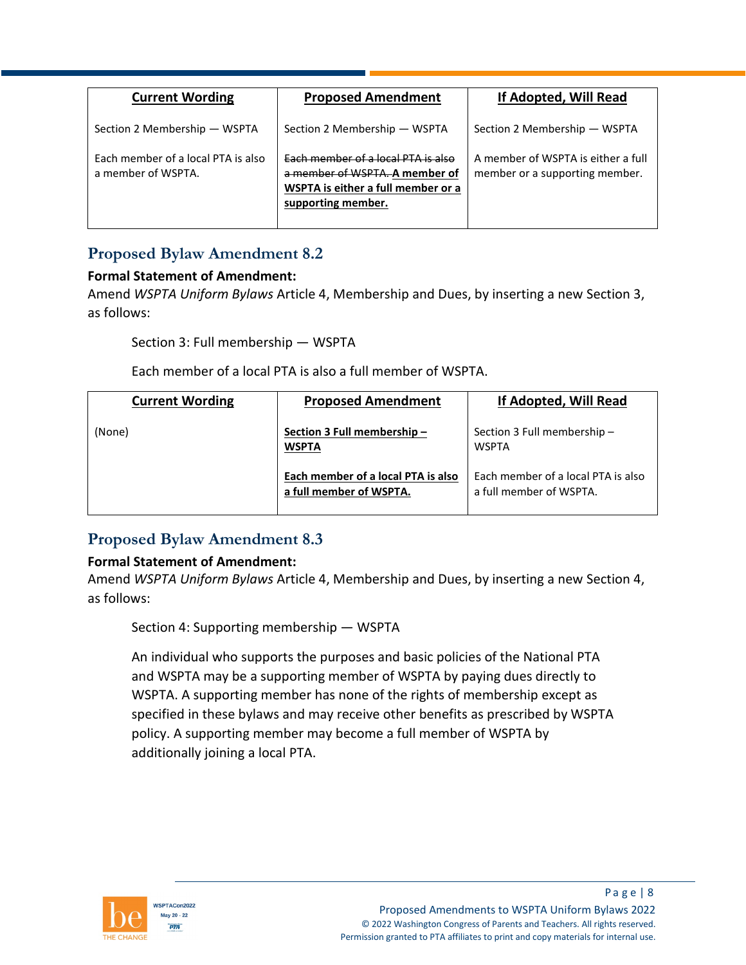| <b>Current Wording</b>                                   | <b>Proposed Amendment</b>                                                                                                               | If Adopted, Will Read                                                |
|----------------------------------------------------------|-----------------------------------------------------------------------------------------------------------------------------------------|----------------------------------------------------------------------|
| Section 2 Membership - WSPTA                             | Section 2 Membership - WSPTA                                                                                                            | Section 2 Membership - WSPTA                                         |
| Each member of a local PTA is also<br>a member of WSPTA. | <b>Each member of a local PTA is also</b><br>a member of WSPTA. A member of<br>WSPTA is either a full member or a<br>supporting member. | A member of WSPTA is either a full<br>member or a supporting member. |

# **Proposed Bylaw Amendment 8.2**

### **Formal Statement of Amendment:**

Amend *WSPTA Uniform Bylaws* Article 4, Membership and Dues, by inserting a new Section 3, as follows:

Section 3: Full membership — WSPTA

Each member of a local PTA is also a full member of WSPTA.

| <b>Current Wording</b> | <b>Proposed Amendment</b>                                     | If Adopted, Will Read                                         |
|------------------------|---------------------------------------------------------------|---------------------------------------------------------------|
| (None)                 | Section 3 Full membership -<br><b>WSPTA</b>                   | Section 3 Full membership -<br><b>WSPTA</b>                   |
|                        | Each member of a local PTA is also<br>a full member of WSPTA. | Each member of a local PTA is also<br>a full member of WSPTA. |

### **Proposed Bylaw Amendment 8.3**

### **Formal Statement of Amendment:**

Amend *WSPTA Uniform Bylaws* Article 4, Membership and Dues, by inserting a new Section 4, as follows:

Section 4: Supporting membership — WSPTA

An individual who supports the purposes and basic policies of the National PTA and WSPTA may be a supporting member of WSPTA by paying dues directly to WSPTA. A supporting member has none of the rights of membership except as specified in these bylaws and may receive other benefits as prescribed by WSPTA policy. A supporting member may become a full member of WSPTA by additionally joining a local PTA.

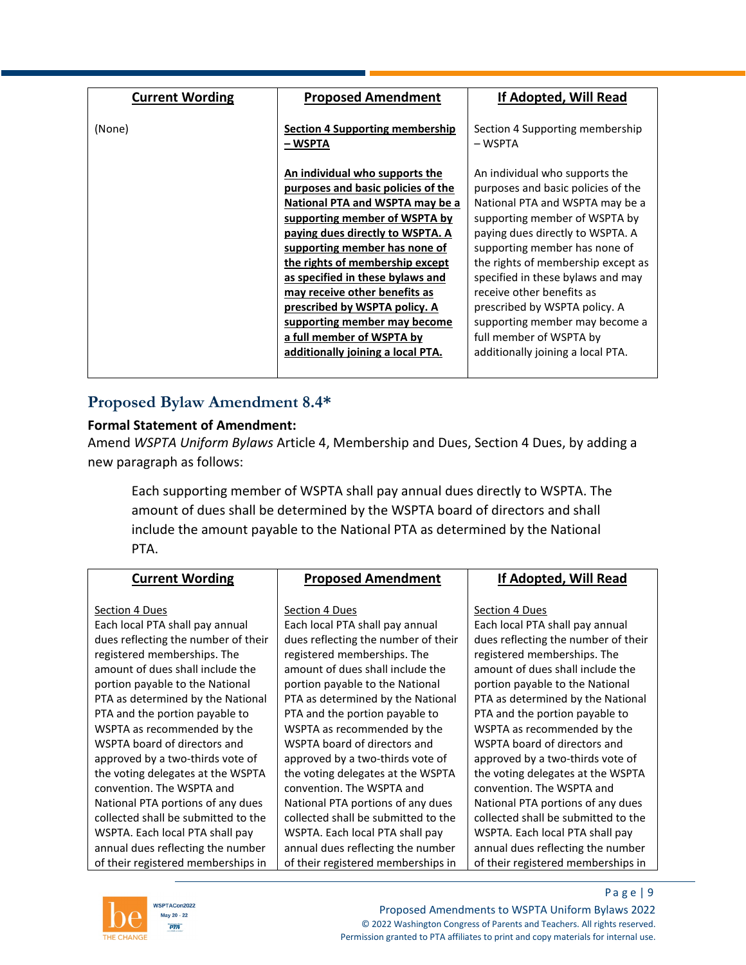| <b>Current Wording</b> | <b>Proposed Amendment</b>              | If Adopted, Will Read              |
|------------------------|----------------------------------------|------------------------------------|
|                        |                                        |                                    |
|                        |                                        |                                    |
| (None)                 | <b>Section 4 Supporting membership</b> | Section 4 Supporting membership    |
|                        | – WSPTA                                | – WSPTA                            |
|                        |                                        |                                    |
|                        | An individual who supports the         | An individual who supports the     |
|                        | purposes and basic policies of the     | purposes and basic policies of the |
|                        | National PTA and WSPTA may be a        | National PTA and WSPTA may be a    |
|                        | supporting member of WSPTA by          | supporting member of WSPTA by      |
|                        | paying dues directly to WSPTA. A       | paying dues directly to WSPTA. A   |
|                        | supporting member has none of          | supporting member has none of      |
|                        | the rights of membership except        | the rights of membership except as |
|                        | as specified in these bylaws and       | specified in these bylaws and may  |
|                        | may receive other benefits as          | receive other benefits as          |
|                        | prescribed by WSPTA policy. A          | prescribed by WSPTA policy. A      |
|                        | supporting member may become           | supporting member may become a     |
|                        | a full member of WSPTA by              | full member of WSPTA by            |
|                        | additionally joining a local PTA.      | additionally joining a local PTA.  |
|                        |                                        |                                    |
|                        |                                        |                                    |

### **Proposed Bylaw Amendment 8.4\***

#### **Formal Statement of Amendment:**

Amend *WSPTA Uniform Bylaws* Article 4, Membership and Dues, Section 4 Dues, by adding a new paragraph as follows:

Each supporting member of WSPTA shall pay annual dues directly to WSPTA. The amount of dues shall be determined by the WSPTA board of directors and shall include the amount payable to the National PTA as determined by the National PTA.

| <b>Current Wording</b>              | <b>Proposed Amendment</b>           | If Adopted, Will Read               |
|-------------------------------------|-------------------------------------|-------------------------------------|
|                                     |                                     |                                     |
| Section 4 Dues                      | Section 4 Dues                      | Section 4 Dues                      |
| Each local PTA shall pay annual     | Each local PTA shall pay annual     | Each local PTA shall pay annual     |
| dues reflecting the number of their | dues reflecting the number of their | dues reflecting the number of their |
| registered memberships. The         | registered memberships. The         | registered memberships. The         |
| amount of dues shall include the    | amount of dues shall include the    | amount of dues shall include the    |
| portion payable to the National     | portion payable to the National     | portion payable to the National     |
| PTA as determined by the National   | PTA as determined by the National   | PTA as determined by the National   |
| PTA and the portion payable to      | PTA and the portion payable to      | PTA and the portion payable to      |
| WSPTA as recommended by the         | WSPTA as recommended by the         | WSPTA as recommended by the         |
| WSPTA board of directors and        | WSPTA board of directors and        | WSPTA board of directors and        |
| approved by a two-thirds vote of    | approved by a two-thirds vote of    | approved by a two-thirds vote of    |
| the voting delegates at the WSPTA   | the voting delegates at the WSPTA   | the voting delegates at the WSPTA   |
| convention. The WSPTA and           | convention. The WSPTA and           | convention. The WSPTA and           |
| National PTA portions of any dues   | National PTA portions of any dues   | National PTA portions of any dues   |
| collected shall be submitted to the | collected shall be submitted to the | collected shall be submitted to the |
| WSPTA. Each local PTA shall pay     | WSPTA. Each local PTA shall pay     | WSPTA. Each local PTA shall pay     |
| annual dues reflecting the number   | annual dues reflecting the number   | annual dues reflecting the number   |
| of their registered memberships in  | of their registered memberships in  | of their registered memberships in  |



P a g e | 9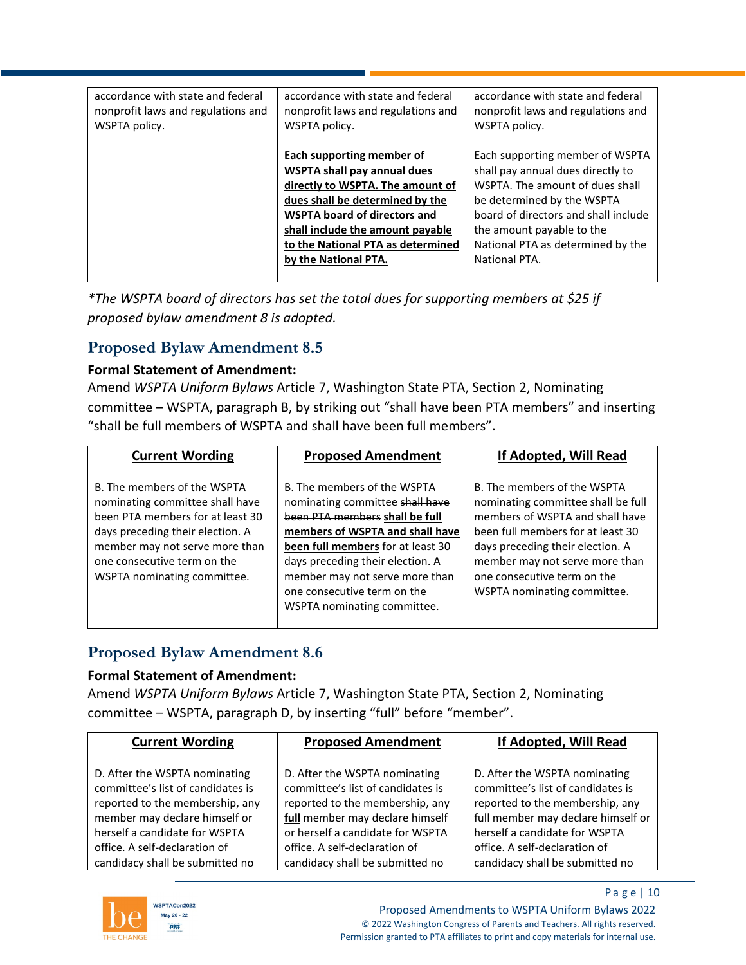| accordance with state and federal<br>nonprofit laws and regulations and | accordance with state and federal<br>nonprofit laws and regulations and | accordance with state and federal<br>nonprofit laws and regulations and |
|-------------------------------------------------------------------------|-------------------------------------------------------------------------|-------------------------------------------------------------------------|
| WSPTA policy.                                                           | WSPTA policy.                                                           | WSPTA policy.                                                           |
|                                                                         |                                                                         |                                                                         |
|                                                                         | Each supporting member of                                               | Each supporting member of WSPTA                                         |
|                                                                         | <b>WSPTA shall pay annual dues</b>                                      | shall pay annual dues directly to                                       |
|                                                                         | directly to WSPTA. The amount of                                        | WSPTA. The amount of dues shall                                         |
|                                                                         | dues shall be determined by the                                         | be determined by the WSPTA                                              |
|                                                                         | <b>WSPTA board of directors and</b>                                     | board of directors and shall include                                    |
|                                                                         | shall include the amount payable                                        | the amount payable to the                                               |
|                                                                         | to the National PTA as determined                                       | National PTA as determined by the                                       |
|                                                                         | by the National PTA.                                                    | National PTA.                                                           |
|                                                                         |                                                                         |                                                                         |

*\*The WSPTA board of directors has set the total dues for supporting members at \$25 if proposed bylaw amendment 8 is adopted.*

# **Proposed Bylaw Amendment 8.5**

### **Formal Statement of Amendment:**

Amend *WSPTA Uniform Bylaws* Article 7, Washington State PTA, Section 2, Nominating committee – WSPTA, paragraph B, by striking out "shall have been PTA members" and inserting "shall be full members of WSPTA and shall have been full members".

| <b>Current Wording</b>                                                                                                                                                                                                                 | <b>Proposed Amendment</b>                                                                                                                                                                                                                                                                                    | If Adopted, Will Read                                                                                                                                                                                                                                                         |
|----------------------------------------------------------------------------------------------------------------------------------------------------------------------------------------------------------------------------------------|--------------------------------------------------------------------------------------------------------------------------------------------------------------------------------------------------------------------------------------------------------------------------------------------------------------|-------------------------------------------------------------------------------------------------------------------------------------------------------------------------------------------------------------------------------------------------------------------------------|
| B. The members of the WSPTA<br>nominating committee shall have<br>been PTA members for at least 30<br>days preceding their election. A<br>member may not serve more than<br>one consecutive term on the<br>WSPTA nominating committee. | B. The members of the WSPTA<br>nominating committee shall have<br>been PTA members shall be full<br>members of WSPTA and shall have<br>been full members for at least 30<br>days preceding their election. A<br>member may not serve more than<br>one consecutive term on the<br>WSPTA nominating committee. | B. The members of the WSPTA<br>nominating committee shall be full<br>members of WSPTA and shall have<br>been full members for at least 30<br>days preceding their election. A<br>member may not serve more than<br>one consecutive term on the<br>WSPTA nominating committee. |

# **Proposed Bylaw Amendment 8.6**

### **Formal Statement of Amendment:**

Amend *WSPTA Uniform Bylaws* Article 7, Washington State PTA, Section 2, Nominating committee – WSPTA, paragraph D, by inserting "full" before "member".

| <b>Current Wording</b>            | <b>Proposed Amendment</b>         | If Adopted, Will Read              |
|-----------------------------------|-----------------------------------|------------------------------------|
| D. After the WSPTA nominating     | D. After the WSPTA nominating     | D. After the WSPTA nominating      |
| committee's list of candidates is | committee's list of candidates is | committee's list of candidates is  |
| reported to the membership, any   | reported to the membership, any   | reported to the membership, any    |
| member may declare himself or     | full member may declare himself   | full member may declare himself or |
| herself a candidate for WSPTA     | or herself a candidate for WSPTA  | herself a candidate for WSPTA      |
| office. A self-declaration of     | office. A self-declaration of     | office. A self-declaration of      |
| candidacy shall be submitted no   | candidacy shall be submitted no   | candidacy shall be submitted no    |



P a g e | 10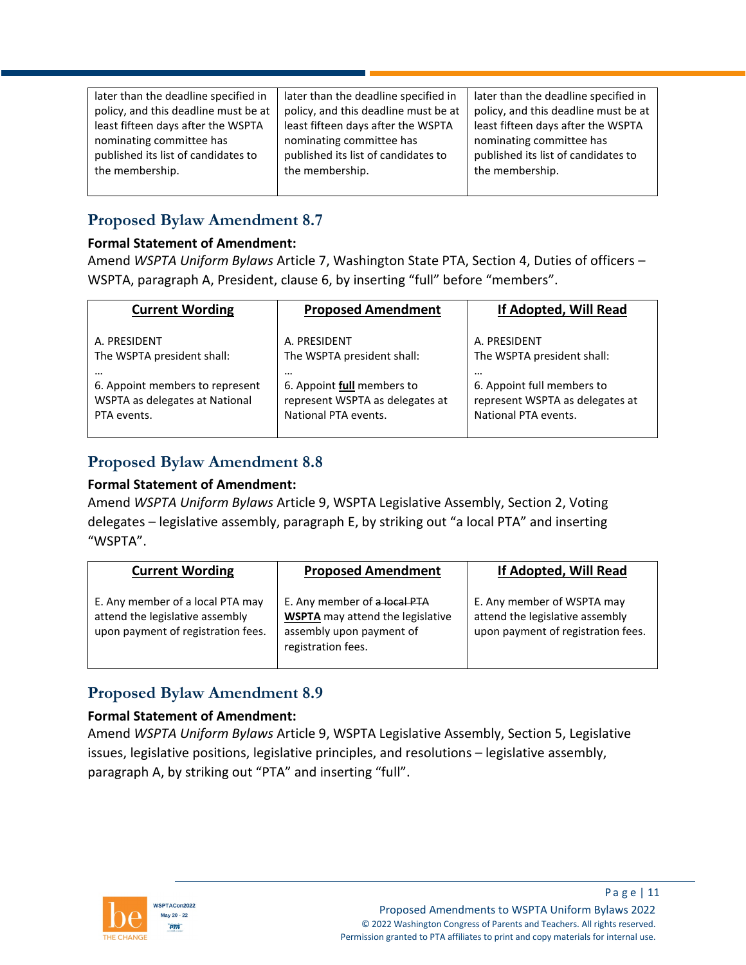| later than the deadline specified in | later than the deadline specified in | later than the deadline specified in |
|--------------------------------------|--------------------------------------|--------------------------------------|
| policy, and this deadline must be at | policy, and this deadline must be at | policy, and this deadline must be at |
| least fifteen days after the WSPTA   | least fifteen days after the WSPTA   | least fifteen days after the WSPTA   |
| nominating committee has             | nominating committee has             | nominating committee has             |
| published its list of candidates to  | published its list of candidates to  | published its list of candidates to  |
| the membership.                      | the membership.                      | the membership.                      |
|                                      |                                      |                                      |

# **Proposed Bylaw Amendment 8.7**

#### **Formal Statement of Amendment:**

Amend *WSPTA Uniform Bylaws* Article 7, Washington State PTA, Section 4, Duties of officers – WSPTA, paragraph A, President, clause 6, by inserting "full" before "members".

| <b>Current Wording</b>          | <b>Proposed Amendment</b>       | If Adopted, Will Read           |
|---------------------------------|---------------------------------|---------------------------------|
| A. PRESIDENT                    | A. PRESIDENT                    | A. PRESIDENT                    |
| The WSPTA president shall:      | The WSPTA president shall:      | The WSPTA president shall:      |
|                                 | $\cdots$                        |                                 |
| 6. Appoint members to represent | 6. Appoint full members to      | 6. Appoint full members to      |
| WSPTA as delegates at National  | represent WSPTA as delegates at | represent WSPTA as delegates at |
| PTA events.                     | National PTA events.            | National PTA events.            |

# **Proposed Bylaw Amendment 8.8**

### **Formal Statement of Amendment:**

Amend *WSPTA Uniform Bylaws* Article 9, WSPTA Legislative Assembly, Section 2, Voting delegates – legislative assembly, paragraph E, by striking out "a local PTA" and inserting "WSPTA".

| <b>Current Wording</b>                                                                                    | <b>Proposed Amendment</b>                                                                                                 | If Adopted, Will Read                                                                               |
|-----------------------------------------------------------------------------------------------------------|---------------------------------------------------------------------------------------------------------------------------|-----------------------------------------------------------------------------------------------------|
| E. Any member of a local PTA may<br>attend the legislative assembly<br>upon payment of registration fees. | E. Any member of a local PTA<br><b>WSPTA</b> may attend the legislative<br>assembly upon payment of<br>registration fees. | E. Any member of WSPTA may<br>attend the legislative assembly<br>upon payment of registration fees. |

# **Proposed Bylaw Amendment 8.9**

### **Formal Statement of Amendment:**

Amend *WSPTA Uniform Bylaws* Article 9, WSPTA Legislative Assembly, Section 5, Legislative issues, legislative positions, legislative principles, and resolutions – legislative assembly, paragraph A, by striking out "PTA" and inserting "full".

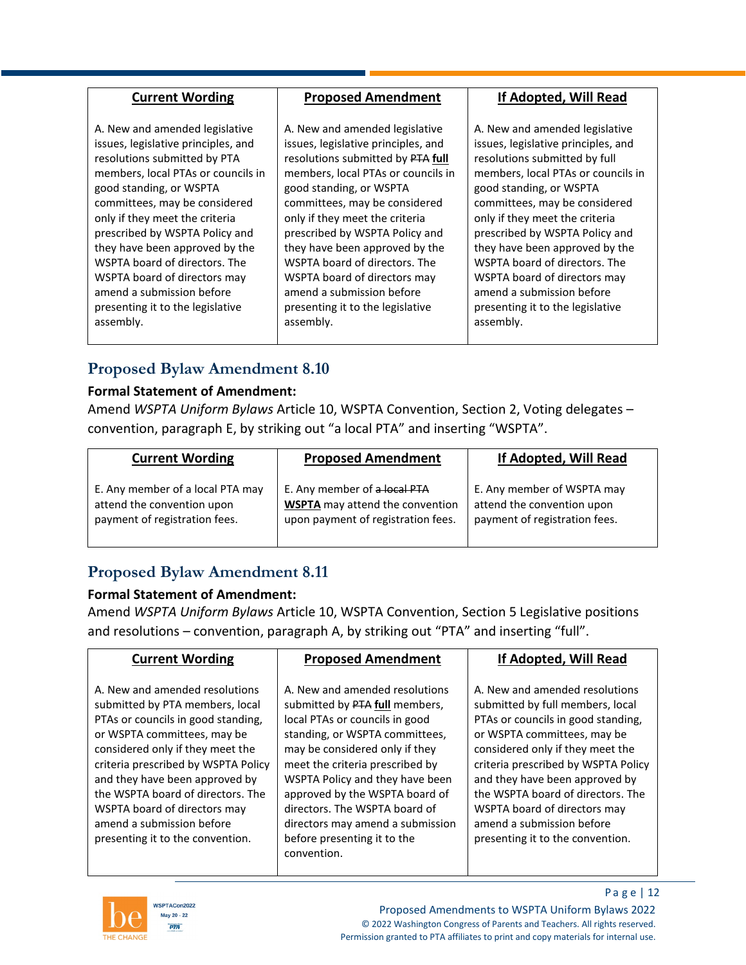| A. New and amended legislative<br>A. New and amended legislative<br>A. New and amended legislative<br>issues, legislative principles, and<br>issues, legislative principles, and<br>issues, legislative principles, and                                                                                                                                                                                                                                                                                                                                                                                                                                                                                                                                                                                                                                                                                                                                                                                                                                                                                                                                                 |  |
|-------------------------------------------------------------------------------------------------------------------------------------------------------------------------------------------------------------------------------------------------------------------------------------------------------------------------------------------------------------------------------------------------------------------------------------------------------------------------------------------------------------------------------------------------------------------------------------------------------------------------------------------------------------------------------------------------------------------------------------------------------------------------------------------------------------------------------------------------------------------------------------------------------------------------------------------------------------------------------------------------------------------------------------------------------------------------------------------------------------------------------------------------------------------------|--|
| resolutions submitted by PTA<br>resolutions submitted by PTA full<br>resolutions submitted by full<br>members, local PTAs or councils in<br>members, local PTAs or councils in<br>members, local PTAs or councils in<br>good standing, or WSPTA<br>good standing, or WSPTA<br>good standing, or WSPTA<br>committees, may be considered<br>committees, may be considered<br>committees, may be considered<br>only if they meet the criteria<br>only if they meet the criteria<br>only if they meet the criteria<br>prescribed by WSPTA Policy and<br>prescribed by WSPTA Policy and<br>prescribed by WSPTA Policy and<br>they have been approved by the<br>they have been approved by the<br>they have been approved by the<br>WSPTA board of directors. The<br>WSPTA board of directors. The<br>WSPTA board of directors. The<br>WSPTA board of directors may<br>WSPTA board of directors may<br>WSPTA board of directors may<br>amend a submission before<br>amend a submission before<br>amend a submission before<br>presenting it to the legislative<br>presenting it to the legislative<br>presenting it to the legislative<br>assembly.<br>assembly.<br>assembly. |  |

# **Proposed Bylaw Amendment 8.10**

#### **Formal Statement of Amendment:**

Amend *WSPTA Uniform Bylaws* Article 10, WSPTA Convention, Section 2, Voting delegates – convention, paragraph E, by striking out "a local PTA" and inserting "WSPTA".

| <b>Current Wording</b>           | <b>Proposed Amendment</b>              | If Adopted, Will Read         |
|----------------------------------|----------------------------------------|-------------------------------|
| E. Any member of a local PTA may | E. Any member of a local PTA           | E. Any member of WSPTA may    |
| attend the convention upon       | <b>WSPTA</b> may attend the convention | attend the convention upon    |
| payment of registration fees.    | upon payment of registration fees.     | payment of registration fees. |

# **Proposed Bylaw Amendment 8.11**

### **Formal Statement of Amendment:**

Amend *WSPTA Uniform Bylaws* Article 10, WSPTA Convention, Section 5 Legislative positions and resolutions – convention, paragraph A, by striking out "PTA" and inserting "full".

| <b>Current Wording</b>                                                                                                                                                                                                                                                                                                                                                                    | <b>Proposed Amendment</b>                                                                                                                                                                                                                                                                                                                                                                         | <b>If Adopted, Will Read</b>                                                                                                                                                                                                                                                                                                                                                               |
|-------------------------------------------------------------------------------------------------------------------------------------------------------------------------------------------------------------------------------------------------------------------------------------------------------------------------------------------------------------------------------------------|---------------------------------------------------------------------------------------------------------------------------------------------------------------------------------------------------------------------------------------------------------------------------------------------------------------------------------------------------------------------------------------------------|--------------------------------------------------------------------------------------------------------------------------------------------------------------------------------------------------------------------------------------------------------------------------------------------------------------------------------------------------------------------------------------------|
| A. New and amended resolutions<br>submitted by PTA members, local<br>PTAs or councils in good standing,<br>or WSPTA committees, may be<br>considered only if they meet the<br>criteria prescribed by WSPTA Policy<br>and they have been approved by<br>the WSPTA board of directors. The<br>WSPTA board of directors may<br>amend a submission before<br>presenting it to the convention. | A. New and amended resolutions<br>submitted by PTA full members,<br>local PTAs or councils in good<br>standing, or WSPTA committees,<br>may be considered only if they<br>meet the criteria prescribed by<br>WSPTA Policy and they have been<br>approved by the WSPTA board of<br>directors. The WSPTA board of<br>directors may amend a submission<br>before presenting it to the<br>convention. | A. New and amended resolutions<br>submitted by full members, local<br>PTAs or councils in good standing,<br>or WSPTA committees, may be<br>considered only if they meet the<br>criteria prescribed by WSPTA Policy<br>and they have been approved by<br>the WSPTA board of directors. The<br>WSPTA board of directors may<br>amend a submission before<br>presenting it to the convention. |



P a g e | 12